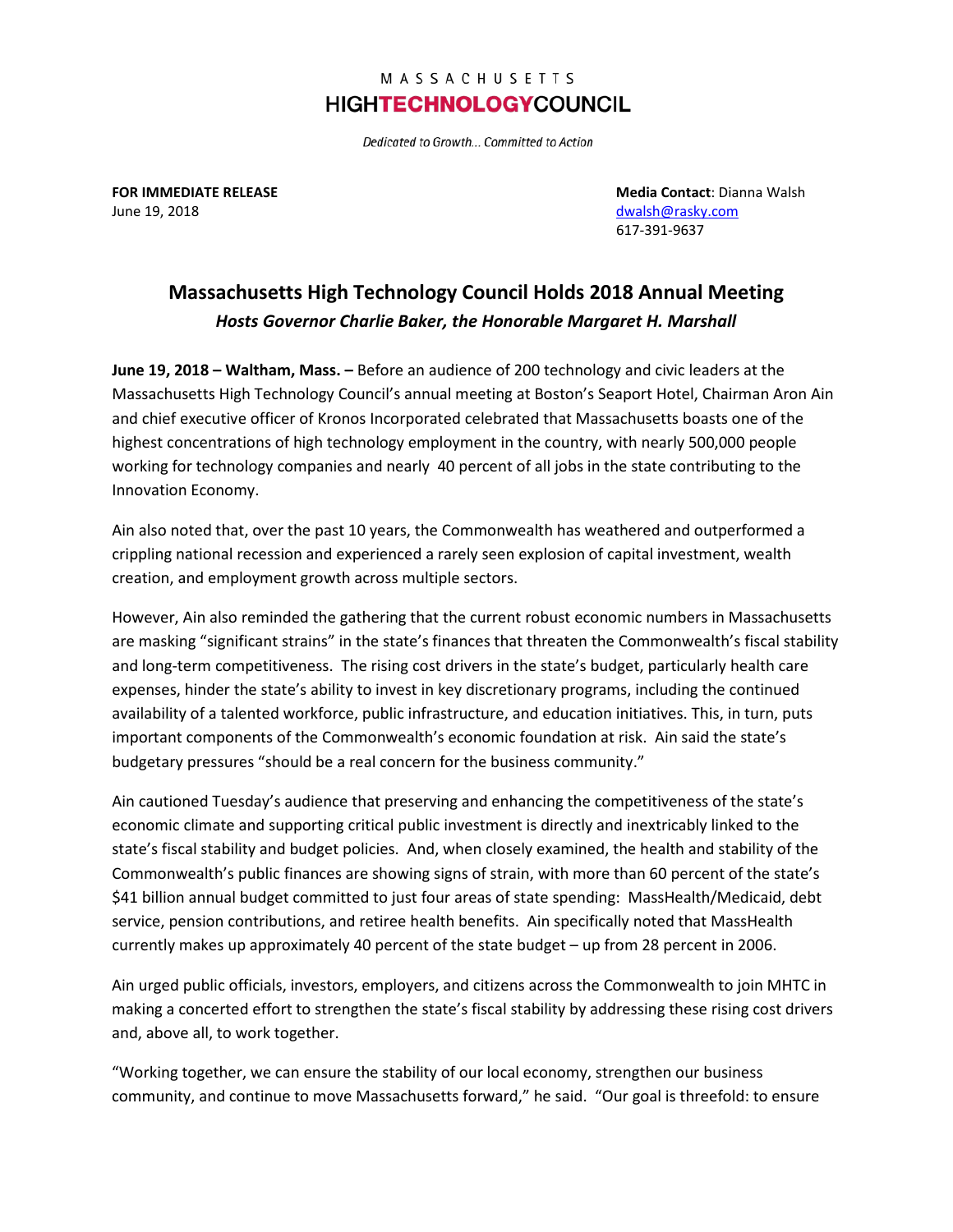## MASSACHUSETTS **HIGHTECHNOLOGYCOUNCIL**

Dedicated to Growth... Committed to Action

June 19, 2018 [dwalsh@rasky.com](mailto:dwalsh@rasky.com)

**FOR IMMEDIATE RELEASE Media Contact**: Dianna Walsh 617-391-9637

## **Massachusetts High Technology Council Holds 2018 Annual Meeting** *Hosts Governor Charlie Baker, the Honorable Margaret H. Marshall*

**June 19, 2018 – Waltham, Mass. –** Before an audience of 200 technology and civic leaders at the Massachusetts High Technology Council's annual meeting at Boston's Seaport Hotel, Chairman Aron Ain and chief executive officer of Kronos Incorporated celebrated that Massachusetts boasts one of the highest concentrations of high technology employment in the country, with nearly 500,000 people working for technology companies and nearly 40 percent of all jobs in the state contributing to the Innovation Economy.

Ain also noted that, over the past 10 years, the Commonwealth has weathered and outperformed a crippling national recession and experienced a rarely seen explosion of capital investment, wealth creation, and employment growth across multiple sectors.

However, Ain also reminded the gathering that the current robust economic numbers in Massachusetts are masking "significant strains" in the state's finances that threaten the Commonwealth's fiscal stability and long-term competitiveness. The rising cost drivers in the state's budget, particularly health care expenses, hinder the state's ability to invest in key discretionary programs, including the continued availability of a talented workforce, public infrastructure, and education initiatives. This, in turn, puts important components of the Commonwealth's economic foundation at risk. Ain said the state's budgetary pressures "should be a real concern for the business community."

Ain cautioned Tuesday's audience that preserving and enhancing the competitiveness of the state's economic climate and supporting critical public investment is directly and inextricably linked to the state's fiscal stability and budget policies. And, when closely examined, the health and stability of the Commonwealth's public finances are showing signs of strain, with more than 60 percent of the state's \$41 billion annual budget committed to just four areas of state spending: MassHealth/Medicaid, debt service, pension contributions, and retiree health benefits. Ain specifically noted that MassHealth currently makes up approximately 40 percent of the state budget – up from 28 percent in 2006.

Ain urged public officials, investors, employers, and citizens across the Commonwealth to join MHTC in making a concerted effort to strengthen the state's fiscal stability by addressing these rising cost drivers and, above all, to work together.

"Working together, we can ensure the stability of our local economy, strengthen our business community, and continue to move Massachusetts forward," he said. "Our goal is threefold: to ensure